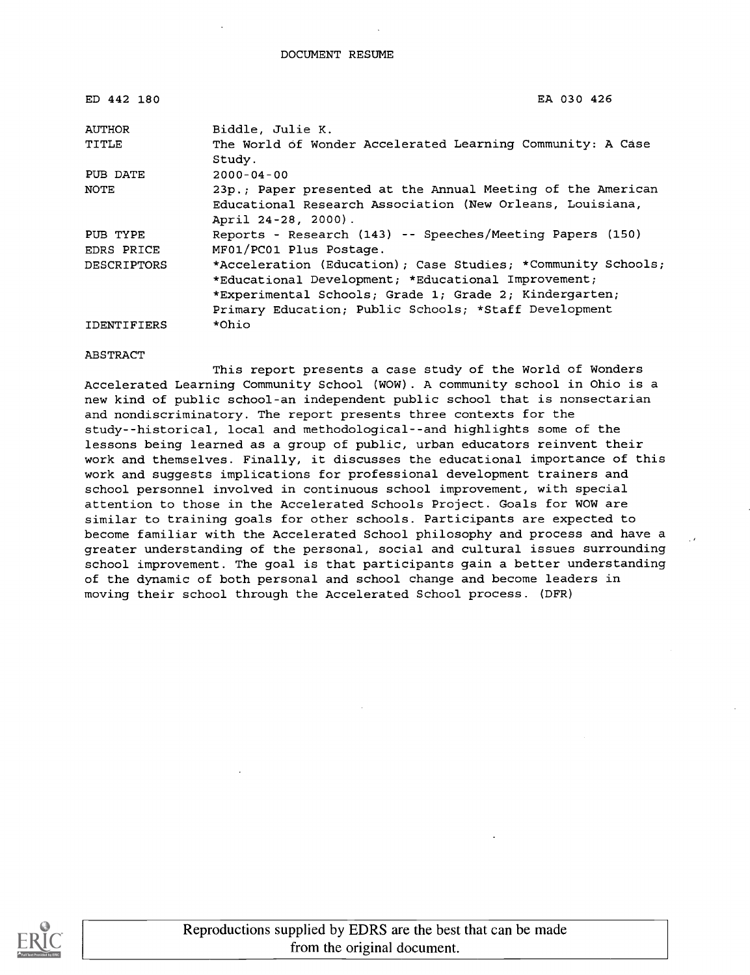| ED 442 180         | EA 030 426                                                                                                                                                                                                                             |
|--------------------|----------------------------------------------------------------------------------------------------------------------------------------------------------------------------------------------------------------------------------------|
| AUTHOR             | Biddle, Julie K.                                                                                                                                                                                                                       |
| TITLE              | The World of Wonder Accelerated Learning Community: A Case<br>Study.                                                                                                                                                                   |
| PUB DATE           | $2000 - 04 - 00$                                                                                                                                                                                                                       |
| NOTE               | 23p.; Paper presented at the Annual Meeting of the American<br>Educational Research Association (New Orleans, Louisiana,<br>April 24-28, 2000).                                                                                        |
| PUB TYPE           | Reports - Research (143) -- Speeches/Meeting Papers (150)                                                                                                                                                                              |
| EDRS PRICE         | MF01/PC01 Plus Postage.                                                                                                                                                                                                                |
| <b>DESCRIPTORS</b> | *Acceleration (Education); Case Studies; *Community Schools;<br>*Educational Development; *Educational Improvement;<br>*Experimental Schools; Grade 1; Grade 2; Kindergarten;<br>Primary Education; Public Schools; *Staff Development |
| <b>IDENTIFIERS</b> | *Ohio                                                                                                                                                                                                                                  |

#### ABSTRACT

This report presents a case study of the World of Wonders Accelerated Learning Community School (WOW). A community school in Ohio is a new kind of public school-an independent public school that is nonsectarian and nondiscriminatory. The report presents three contexts for the study--historical, local and methodological--and highlights some of the lessons being learned as a group of public, urban educators reinvent their work and themselves. Finally, it discusses the educational importance of this work and suggests implications for professional development trainers and school personnel involved in continuous school improvement, with special attention to those in the Accelerated Schools Project. Goals for WOW are similar to training goals for other schools. Participants are expected to become familiar with the Accelerated School philosophy and process and have a greater understanding of the personal, social and cultural issues surrounding school improvement. The goal is that participants gain a better understanding of the dynamic of both personal and school change and become leaders in moving their school through the Accelerated School process. (DFR)

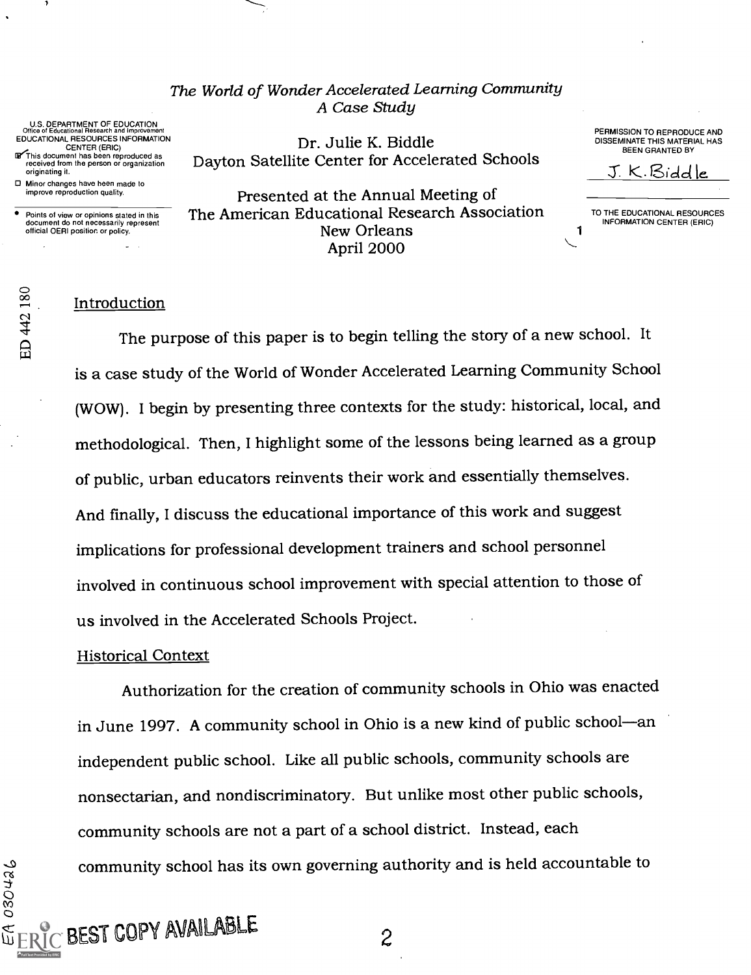The World of Wonder Accelerated Learning Community A Case Study

U.S. DEPARTMENT OF EDUCATION<br>Office of Educational Research and Improvement<br>EDUCATIONAL RESOURCES INFORMATION CENTER (ERIC)

 $\mathbf F$  This document has been reproduced as received from the person or organization  $\mathbf D$ originating it.

D Minor changes have been made to improve reproduction quality.

Points of view or opinions stated in this document do not necessarily represent official OERI position or policy.

Dr. Julie K. Biddle Dayton Satellite Center for Accelerated Schools PERMISSION TO REPRODUCE AND DISSEMINATE THIS MATERIAL HAS BEEN GRANTED BY

3: K. Sicid ie.

Presented at the Annual Meeting of The American Educational Research Association New Orleans April 2000

TO THE EDUCATIONAL RESOURCES INFORMATION CENTER (ERIC)

1

#### Introduction

The purpose of this paper is to begin telling the story of a new school. It is a case study of the World of Wonder Accelerated Learning Community School (WOW). I begin by presenting three contexts for the study: historical, local, and methodological. Then, I highlight some of the lessons being learned as a group of public, urban educators reinvents their work and essentially themselves. And finally, I discuss the educational importance of this work and suggest implications for professional development trainers and school personnel involved in continuous school improvement with special attention to those of us involved in the Accelerated Schools Project.

#### Historical Context

 $_{\bigcirc}$  BEST COPY AVAILABLE

Authorization for the creation of community schools in Ohio was enacted in June 1997. A community school in Ohio is a new kind of public school-an independent public school. Like all public schools, community schools are nonsectarian, and nondiscriminatory. But unlike most other public schools, community schools are not a part of a school district. Instead, each community school has its own governing authority and is held accountable to

 $c\sigma$  and  $c\sigma$ 

 $\frac{80}{1}$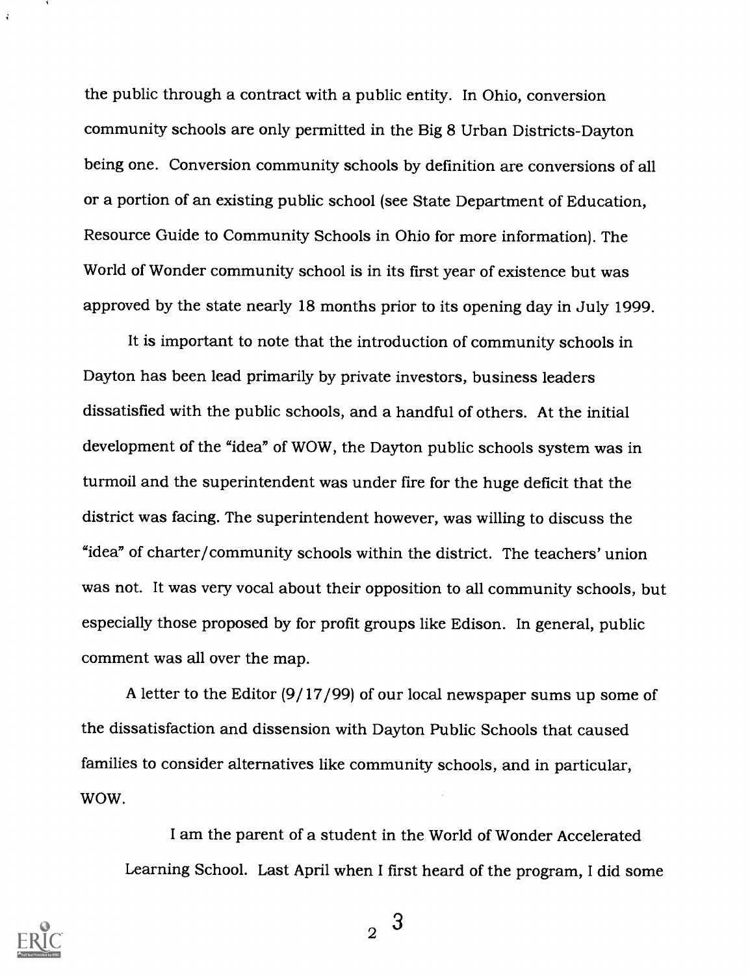the public through a contract with a public entity. In Ohio, conversion community schools are only permitted in the Big 8 Urban Districts-Dayton being one. Conversion community schools by definition are conversions of all or a portion of an existing public school (see State Department of Education, Resource Guide to Community Schools in Ohio for more information). The World of Wonder community school is in its first year of existence but was approved by the state nearly 18 months prior to its opening day in July 1999.

It is important to note that the introduction of community schools in Dayton has been lead primarily by private investors, business leaders dissatisfied with the public schools, and a handful of others. At the initial development of the "idea" of WOW, the Dayton public schools system was in turmoil and the superintendent was under fire for the huge deficit that the district was facing. The superintendent however, was willing to discuss the "idea" of charter/community schools within the district. The teachers' union was not. It was very vocal about their opposition to all community schools, but especially those proposed by for profit groups like Edison. In general, public comment was all over the map.

A letter to the Editor (9/17/99) of our local newspaper sums up some of the dissatisfaction and dissension with Dayton Public Schools that caused families to consider alternatives like community schools, and in particular, WOW.

I am the parent of a student in the World of Wonder Accelerated Learning School. Last April when I first heard of the program, I did some



 $\ddot{ }$ 

 $\Omega$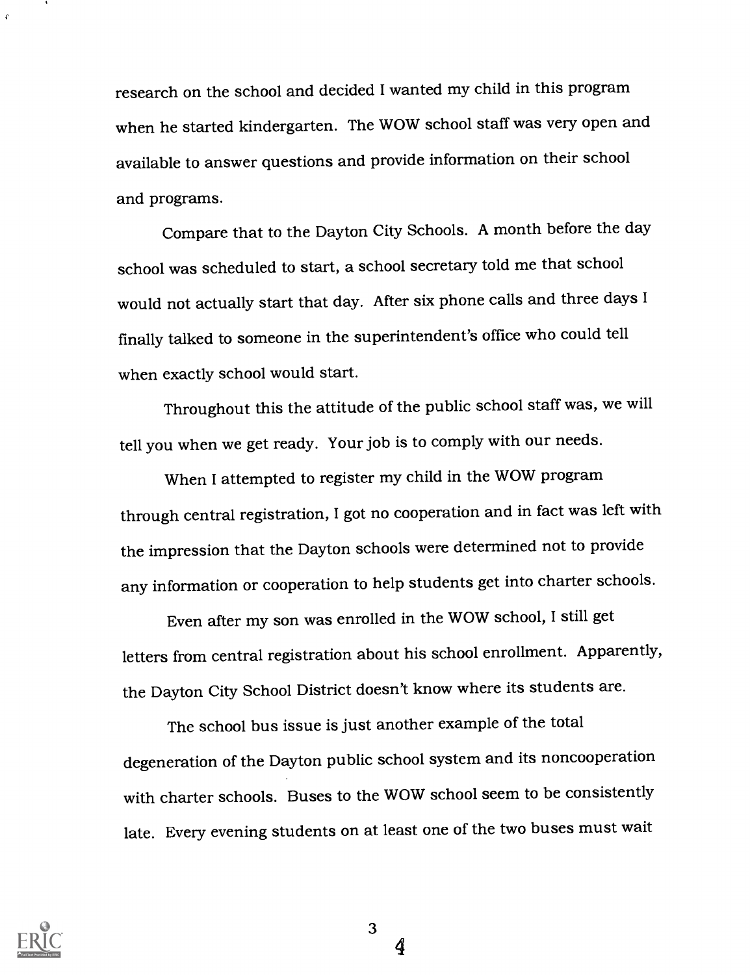research on the school and decided I wanted my child in this program when he started kindergarten. The WOW school staff was very open and available to answer questions and provide information on their school and programs.

Compare that to the Dayton City Schools. A month before the day school was scheduled to start, a school secretary told me that school would not actually start that day. After six phone calls and three days I finally talked to someone in the superintendent's office who could tell when exactly school would start.

Throughout this the attitude of the public school staff was, we will tell you when we get ready. Your job is to comply with our needs.

When I attempted to register my child in the WOW program through central registration, I got no cooperation and in fact was left with the impression that the Dayton schools were determined not to provide any information or cooperation to help students get into charter schools.

Even after my son was enrolled in the WOW school, I still get letters from central registration about his school enrollment. Apparently, the Dayton City School District doesn't know where its students are.

The school bus issue is just another example of the total degeneration of the Dayton public school system and its noncooperation with charter schools. Buses to the WOW school seem to be consistently late. Every evening students on at least one of the two buses must wait



3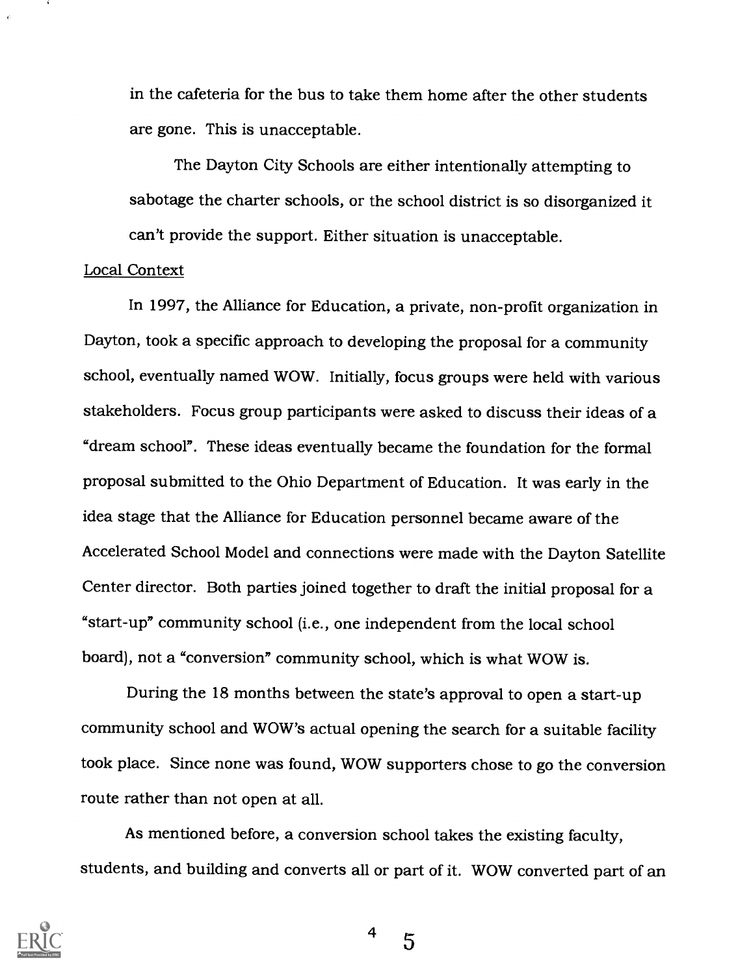in the cafeteria for the bus to take them home after the other students are gone. This is unacceptable.

The Dayton City Schools are either intentionally attempting to sabotage the charter schools, or the school district is so disorganized it can't provide the support. Either situation is unacceptable.

#### Local Context

In 1997, the Alliance for Education, a private, non-profit organization in Dayton, took a specific approach to developing the proposal for a community school, eventually named WOW. Initially, focus groups were held with various stakeholders. Focus group participants were asked to discuss their ideas of a "dream school". These ideas eventually became the foundation for the formal proposal submitted to the Ohio Department of Education. It was early in the idea stage that the Alliance for Education personnel became aware of the Accelerated School Model and connections were made with the Dayton Satellite Center director. Both parties joined together to draft the initial proposal for a "start-up" community school (i.e., one independent from the local school board), not a "conversion" community school, which is what WOW is.

During the 18 months between the state's approval to open a start-up community school and WOW's actual opening the search for a suitable facility took place. Since none was found, WOW supporters chose to go the conversion route rather than not open at all.

As mentioned before, a conversion school takes the existing faculty, students, and building and converts all or part of it. WOW converted part of an



4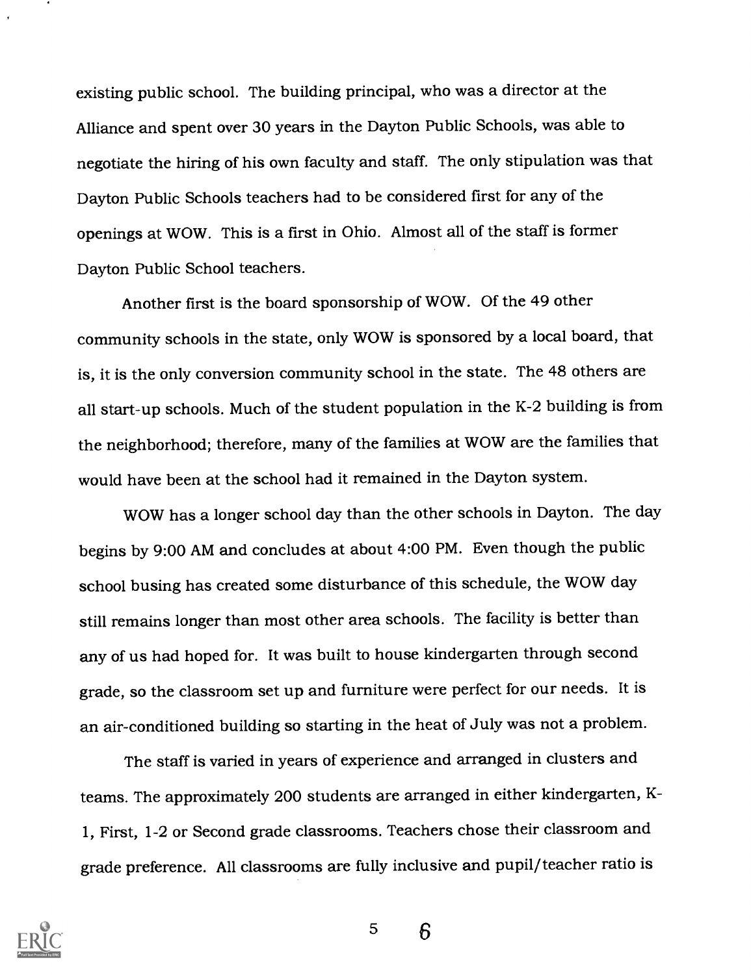existing public school. The building principal, who was a director at the Alliance and spent over 30 years in the Dayton Public Schools, was able to negotiate the hiring of his own faculty and staff. The only stipulation was that Dayton Public Schools teachers had to be considered first for any of the openings at WOW. This is a first in Ohio. Almost all of the staff is former Dayton Public School teachers.

Another first is the board sponsorship of WOW. Of the 49 other community schools in the state, only WOW is sponsored by a local board, that is, it is the only conversion community school in the state. The 48 others are all start-up schools. Much of the student population in the K-2 building is from the neighborhood; therefore, many of the families at WOW are the families that would have been at the school had it remained in the Dayton system.

WOW has a longer school day than the other schools in Dayton. The day begins by 9:00 AM and concludes at about 4:00 PM. Even though the public school busing has created some disturbance of this schedule, the WOW day still remains longer than most other area schools. The facility is better than any of us had hoped for. It was built to house kindergarten through second grade, so the classroom set up and furniture were perfect for our needs. It is an air-conditioned building so starting in the heat of July was not a problem.

The staff is varied in years of experience and arranged in clusters and teams. The approximately 200 students are arranged in either kindergarten, K-1, First, 1-2 or Second grade classrooms. Teachers chose their classroom and grade preference. All classrooms are fully inclusive and pupil/teacher ratio is



5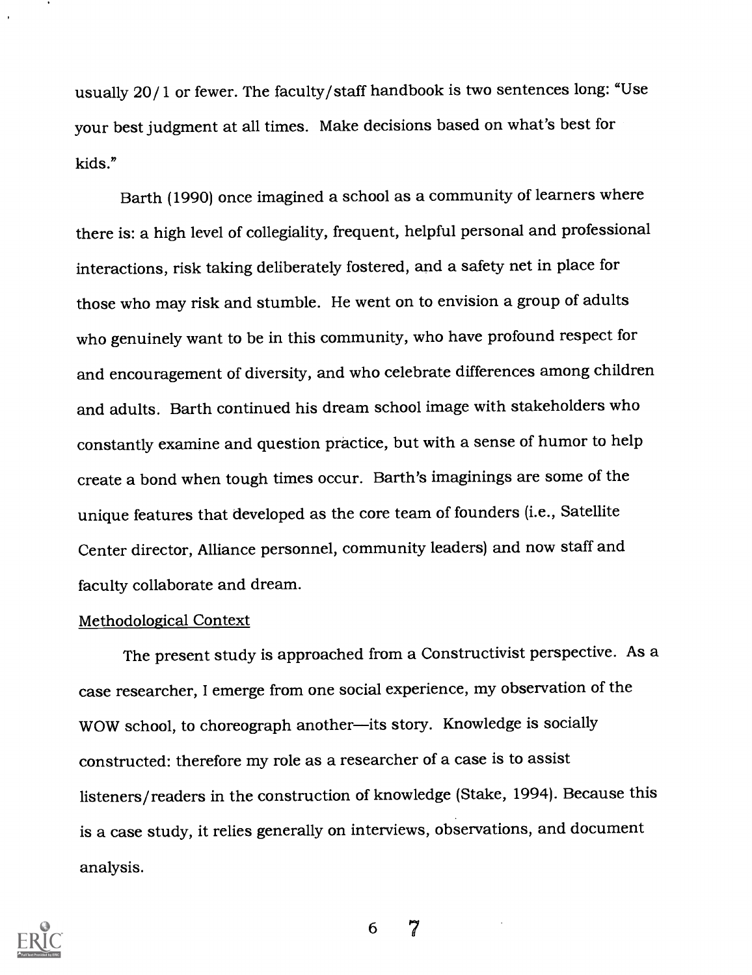usually 20/1 or fewer. The faculty/staff handbook is two sentences long: "Use your best judgment at all times. Make decisions based on what's best for kids."

Barth (1990) once imagined a school as a community of learners where there is: a high level of collegiality, frequent, helpful personal and professional interactions, risk taking deliberately fostered, and a safety net in place for those who may risk and stumble. He went on to envision a group of adults who genuinely want to be in this community, who have profound respect for and encouragement of diversity, and who celebrate differences among children and adults. Barth continued his dream school image with stakeholders who constantly examine and question practice, but with a sense of humor to help create a bond when tough times occur. Barth's imaginings are some of the unique features that developed as the core team of founders (i.e., Satellite Center director, Alliance personnel, community leaders) and now staff and faculty collaborate and dream.

#### Methodological Context

The present study is approached from a Constructivist perspective. As a case researcher, I emerge from one social experience, my observation of the WOW school, to choreograph another-its story. Knowledge is socially constructed: therefore my role as a researcher of a case is to assist listeners/readers in the construction of knowledge (Stake, 1994). Because this is a case study, it relies generally on interviews, observations, and document analysis.

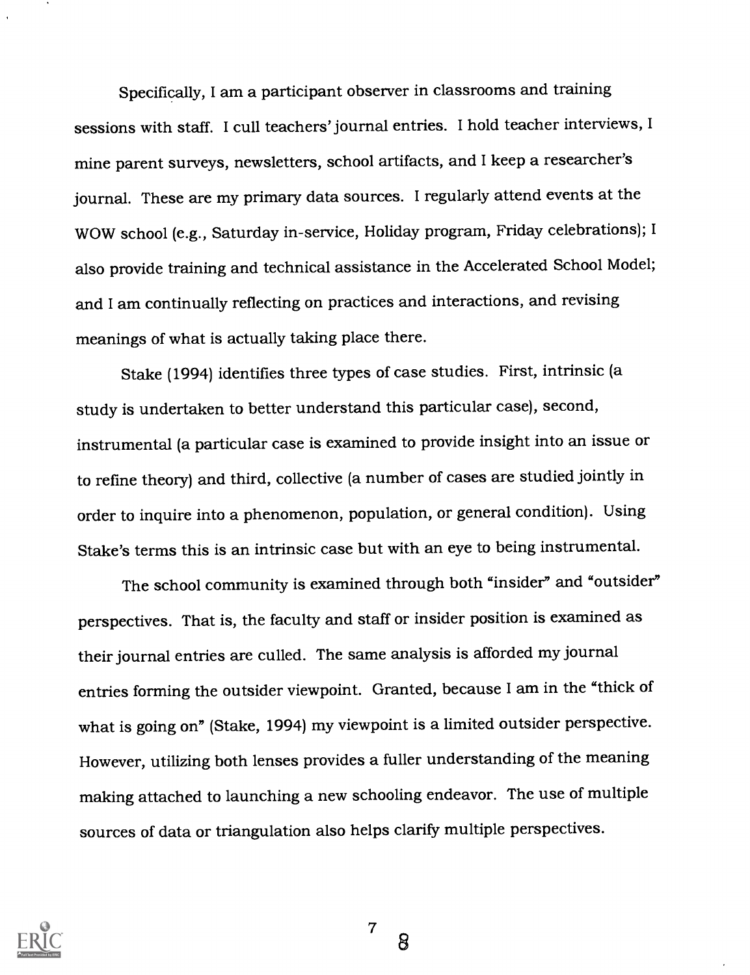Specifically, I am a participant observer in classrooms and training sessions with staff. I cull teachers' journal entries. I hold teacher interviews, I mine parent surveys, newsletters, school artifacts, and I keep a researcher's journal. These are my primary data sources. I regularly attend events at the WOW school (e.g., Saturday in-service, Holiday program, Friday celebrations); I also provide training and technical assistance in the Accelerated School Model; and I am continually reflecting on practices and interactions, and revising meanings of what is actually taking place there.

Stake (1994) identifies three types of case studies. First, intrinsic (a study is undertaken to better understand this particular case), second, instrumental (a particular case is examined to provide insight into an issue or to refine theory) and third, collective (a number of cases are studied jointly in order to inquire into a phenomenon, population, or general condition). Using Stake's terms this is an intrinsic case but with an eye to being instrumental.

The school community is examined through both "insider" and "outsider" perspectives. That is, the faculty and staff or insider position is examined as their journal entries are culled. The same analysis is afforded myjournal entries forming the outsider viewpoint. Granted, because I am in the "thick of what is going on" (Stake, 1994) my viewpoint is a limited outsider perspective. However, utilizing both lenses provides a fuller understanding of the meaning making attached to launching a new schooling endeavor. The use of multiple sources of data or triangulation also helps clarify multiple perspectives.



 $7\degree$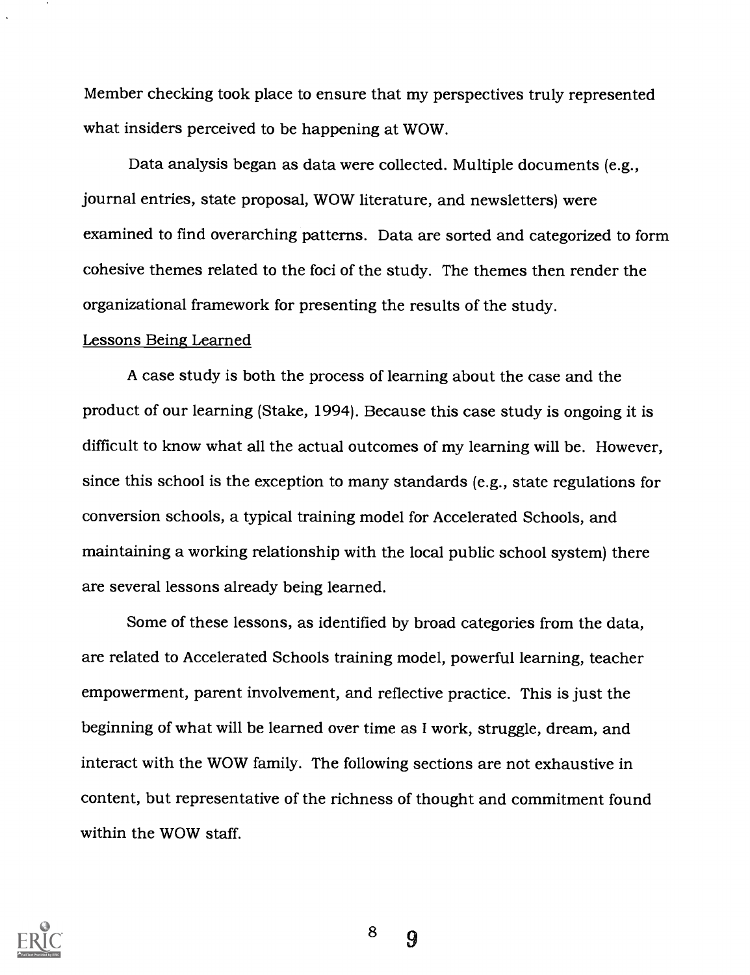Member checking took place to ensure that my perspectives truly represented what insiders perceived to be happening at WOW.

Data analysis began as data were collected. Multiple documents (e.g., journal entries, state proposal, WOW literature, and newsletters) were examined to find overarching patterns. Data are sorted and categorized to form cohesive themes related to the foci of the study. The themes then render the organizational framework for presenting the results of the study.

#### Lessons Being Learned

A case study is both the process of learning about the case and the product of our learning (Stake, 1994). Because this case study is ongoing it is difficult to know what all the actual outcomes of my learning will be. However, since this school is the exception to many standards (e.g., state regulations for conversion schools, a typical training model for Accelerated Schools, and maintaining a working relationship with the local public school system) there are several lessons already being learned.

Some of these lessons, as identified by broad categories from the data, are related to Accelerated Schools training model, powerful learning, teacher empowerment, parent involvement, and reflective practice. This is just the beginning of what will be learned over time as I work, struggle, dream, and interact with the WOW family. The following sections are not exhaustive in content, but representative of the richness of thought and commitment found within the WOW staff.



8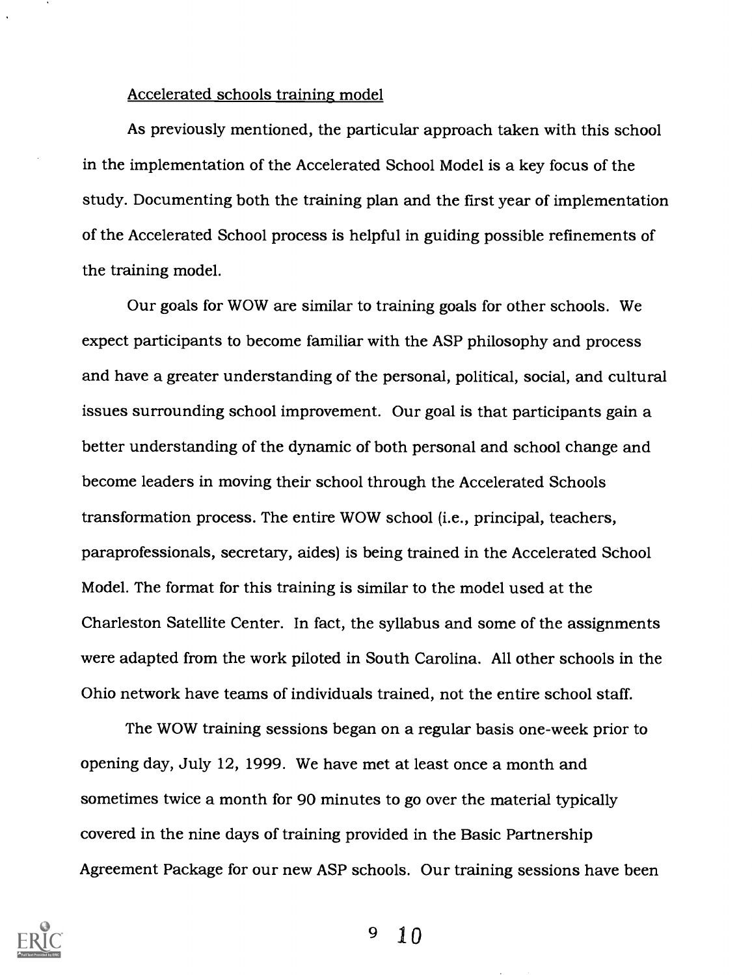#### Accelerated schools training model

As previously mentioned, the particular approach taken with this school in the implementation of the Accelerated School Model is a key focus of the study. Documenting both the training plan and the first year of implementation of the Accelerated School process is helpful in guiding possible refinements of the training model.

Our goals for WOW are similar to training goals for other schools. We expect participants to become familiar with the ASP philosophy and process and have a greater understanding of the personal, political, social, and cultural issues surrounding school improvement. Our goal is that participants gain a better understanding of the dynamic of both personal and school change and become leaders in moving their school through the Accelerated Schools transformation process. The entire WOW school (i.e., principal, teachers, paraprofessionals, secretary, aides) is being trained in the Accelerated School Model. The format for this training is similar to the model used at the Charleston Satellite Center. In fact, the syllabus and some of the assignments were adapted from the work piloted in South Carolina. All other schools in the Ohio network have teams of individuals trained, not the entire school staff.

The WOW training sessions began on a regular basis one-week prior to opening day, July 12, 1999. We have met at least once a month and sometimes twice a month for 90 minutes to go over the material typically covered in the nine days of training provided in the Basic Partnership Agreement Package for our new ASP schools. Our training sessions have been

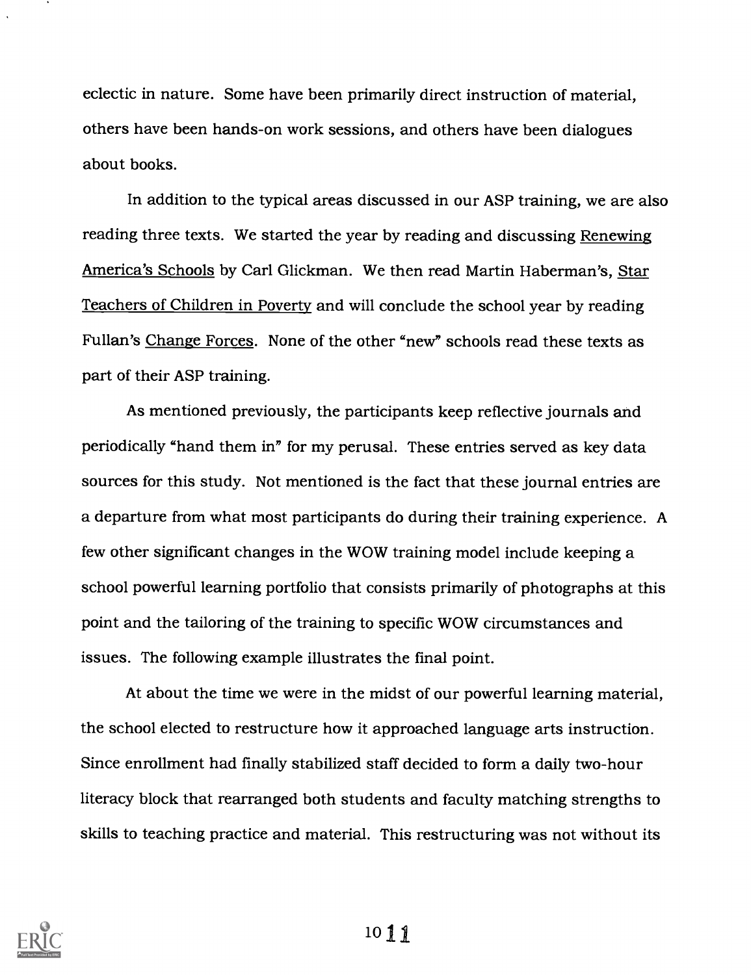eclectic in nature. Some have been primarily direct instruction of material, others have been hands-on work sessions, and others have been dialogues about books.

In addition to the typical areas discussed in our ASP training, we are also reading three texts. We started the year by reading and discussing Renewing America's Schools by Carl Glickman. We then read Martin Haberman's, Star Teachers of Children in Poverty and will conclude the school year by reading Fullan's Change Forces. None of the other "new" schools read these texts as part of their ASP training.

As mentioned previously, the participants keep reflective journals and periodically "hand them in" for my perusal. These entries served as key data sources for this study. Not mentioned is the fact that these journal entries are a departure from what most participants do during their training experience. A few other significant changes in the WOW training model include keeping a school powerful learning portfolio that consists primarily of photographs at this point and the tailoring of the training to specific WOW circumstances and issues. The following example illustrates the final point.

At about the time we were in the midst of our powerful learning material, the school elected to restructure how it approached language arts instruction. Since enrollment had finally stabilized staff decided to form a daily two-hour literacy block that rearranged both students and faculty matching strengths to skills to teaching practice and material. This restructuring was not without its

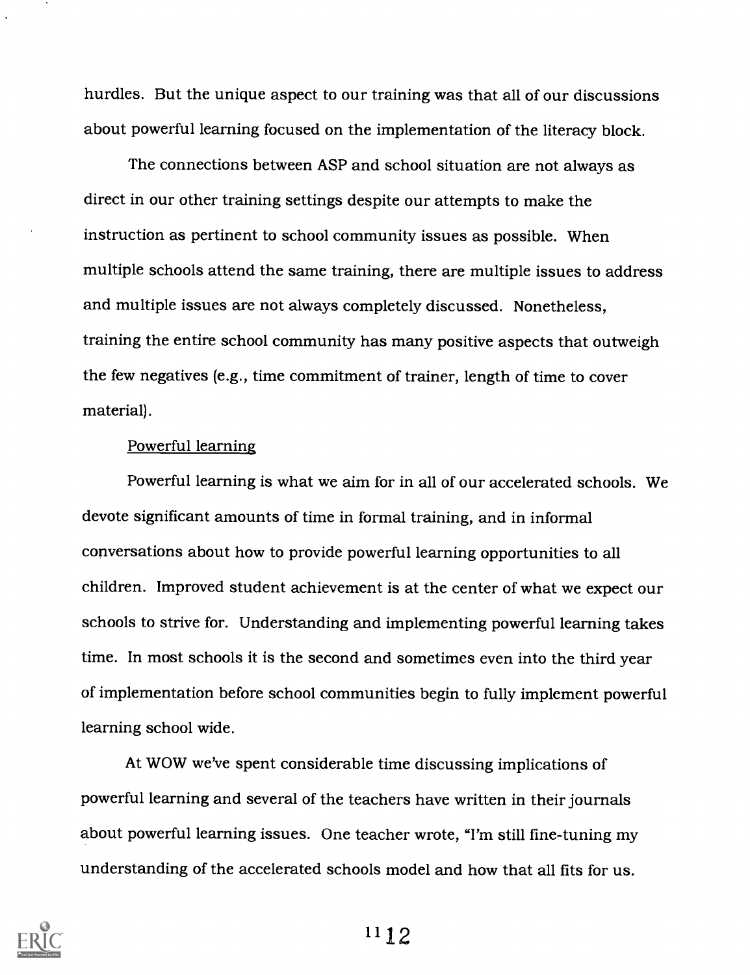hurdles. But the unique aspect to our training was that all of our discussions about powerful learning focused on the implementation of the literacy block.

The connections between ASP and school situation are not always as direct in our other training settings despite our attempts to make the instruction as pertinent to school community issues as possible. When multiple schools attend the same training, there are multiple issues to address and multiple issues are not always completely discussed. Nonetheless, training the entire school community has many positive aspects that outweigh the few negatives (e.g., time commitment of trainer, length of time to cover material).

### Powerful learning

Powerful learning is what we aim for in all of our accelerated schools. We devote significant amounts of time in formal training, and in informal conversations about how to provide powerful learning opportunities to all children. Improved student achievement is at the center of what we expect our schools to strive for. Understanding and implementing powerful learning takes time. In most schools it is the second and sometimes even into the third year of implementation before school communities begin to fully implement powerful learning school wide.

At WOW we've spent considerable time discussing implications of powerful learning and several of the teachers have written in their journals about powerful learning issues. One teacher wrote, "I'm still fine-tuning my understanding of the accelerated schools model and how that all fits for us.

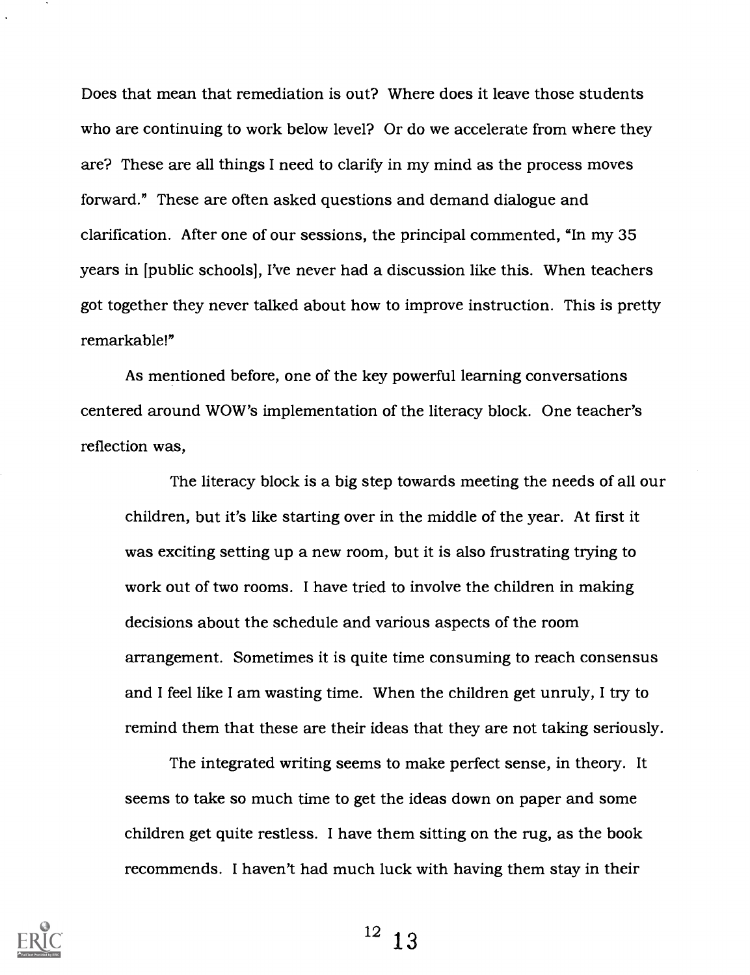Does that mean that remediation is out? Where does it leave those students who are continuing to work below level? Or do we accelerate from where they are? These are all things I need to clarify in my mind as the process moves forward." These are often asked questions and demand dialogue and clarification. After one of our sessions, the principal commented, "In my 35 years in [public schools], I've never had a discussion like this. When teachers got together they never talked about how to improve instruction. This is pretty remarkable!"

As mentioned before, one of the key powerful learning conversations centered around WOW's implementation of the literacy block. One teacher's reflection was,

The literacy block is a big step towards meeting the needs of all our children, but it's like starting over in the middle of the year. At first it was exciting setting up a new room, but it is also frustrating trying to work out of two rooms. I have tried to involve the children in making decisions about the schedule and various aspects of the room arrangement. Sometimes it is quite time consuming to reach consensus and I feel like I am wasting time. When the children get unruly, I try to remind them that these are their ideas that they are not taking seriously.

The integrated writing seems to make perfect sense, in theory. It seems to take so much time to get the ideas down on paper and some children get quite restless. I have them sitting on the rug, as the book recommends. I haven't had much luck with having them stay in their



 $12<sup>12</sup>$  $1.3$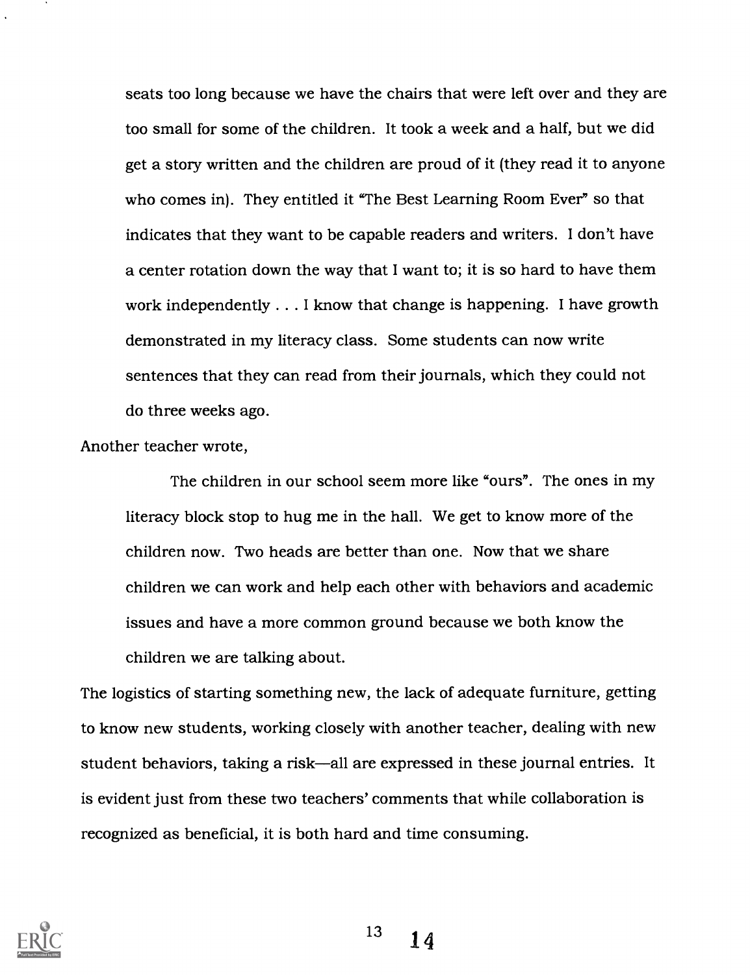seats too long because we have the chairs that were left over and they are too small for some of the children. It took a week and a half, but we did get a story written and the children are proud of it (they read it to anyone who comes in). They entitled it "The Best Learning Room Ever" so that indicates that they want to be capable readers and writers. I don't have a center rotation down the way that I want to; it is so hard to have them work independently . . . I know that change is happening. I have growth demonstrated in my literacy class. Some students can now write sentences that they can read from their journals, which they could not do three weeks ago.

Another teacher wrote,

The children in our school seem more like "ours". The ones in my literacy block stop to hug me in the hall. We get to know more of the children now. Two heads are better than one. Now that we share children we can work and help each other with behaviors and academic issues and have a more common ground because we both know the children we are talking about.

The logistics of starting something new, the lack of adequate furniture, getting to know new students, working closely with another teacher, dealing with new student behaviors, taking a risk—all are expressed in these journal entries. It is evident just from these two teachers' comments that while collaboration is recognized as beneficial, it is both hard and time consuming.



 $13 \t 14$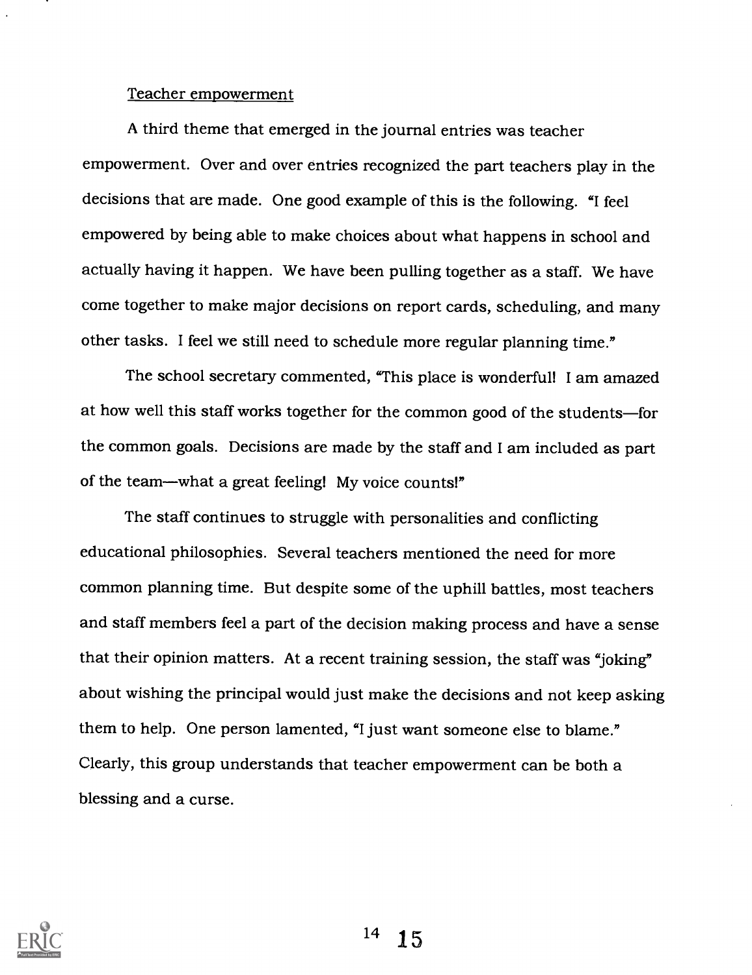#### Teacher empowerment

A third theme that emerged in the journal entries was teacher empowerment. Over and over entries recognized the part teachers play in the decisions that are made. One good example of this is the following. "I feel empowered by being able to make choices about what happens in school and actually having it happen. We have been pulling together as a staff. We have come together to make major decisions on report cards, scheduling, and many other tasks. I feel we still need to schedule more regular planning time."

The school secretary commented, "This place is wonderful! I am amazed at how well this staff works together for the common good of the students-for the common goals. Decisions are made by the staff and I am included as part of the team—what a great feeling! My voice counts!"

The staff continues to struggle with personalities and conflicting educational philosophies. Several teachers mentioned the need for more common planning time. But despite some of the uphill battles, most teachers and staff members feel a part of the decision making process and have a sense that their opinion matters. At a recent training session, the staff was "joking" about wishing the principal would just make the decisions and not keep asking them to help. One person lamented, "I just want someone else to blame." Clearly, this group understands that teacher empowerment can be both a blessing and a curse.

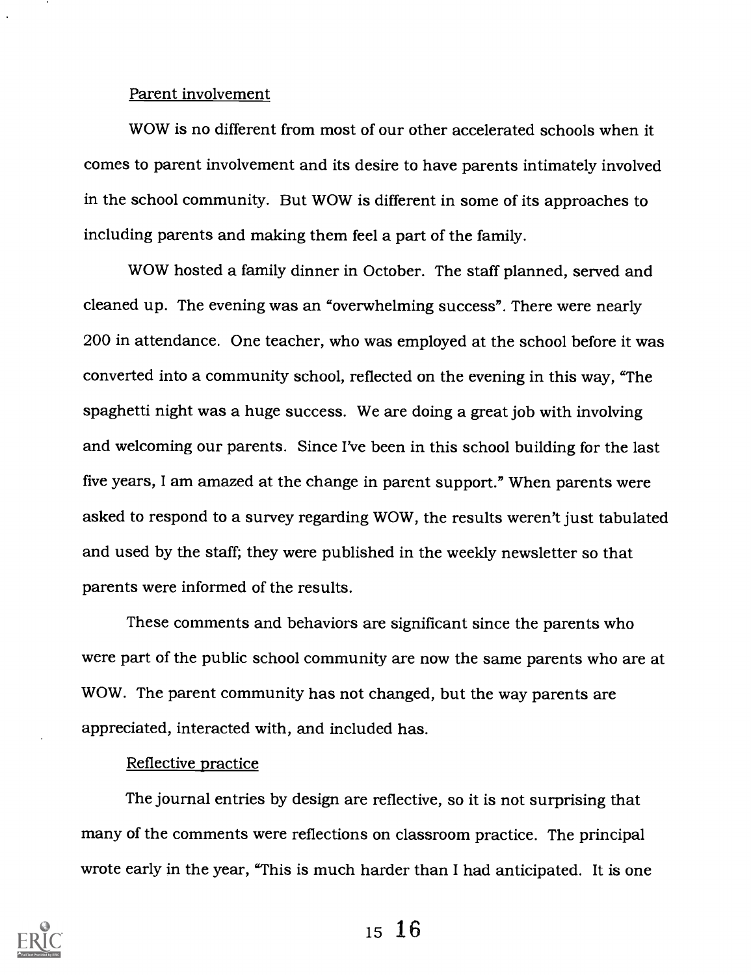#### Parent involvement

WOW is no different from most of our other accelerated schools when it comes to parent involvement and its desire to have parents intimately involved in the school community. But WOW is different in some of its approaches to including parents and making them feel a part of the family.

WOW hosted a family dinner in October. The staff planned, served and cleaned up. The evening was an "overwhelming success". There were nearly 200 in attendance. One teacher, who was employed at the school before it was converted into a community school, reflected on the evening in this way, "The spaghetti night was a huge success. We are doing a great job with involving and welcoming our parents. Since I've been in this school building for the last five years, I am amazed at the change in parent support." When parents were asked to respond to a survey regarding WOW, the results weren't just tabulated and used by the staff; they were published in the weekly newsletter so that parents were informed of the results.

These comments and behaviors are significant since the parents who were part of the public school community are now the same parents who are at WOW. The parent community has not changed, but the way parents are appreciated, interacted with, and included has.

#### Reflective practice

The journal entries by design are reflective, so it is not surprising that many of the comments were reflections on classroom practice. The principal wrote early in the year, "This is much harder than I had anticipated. It is one

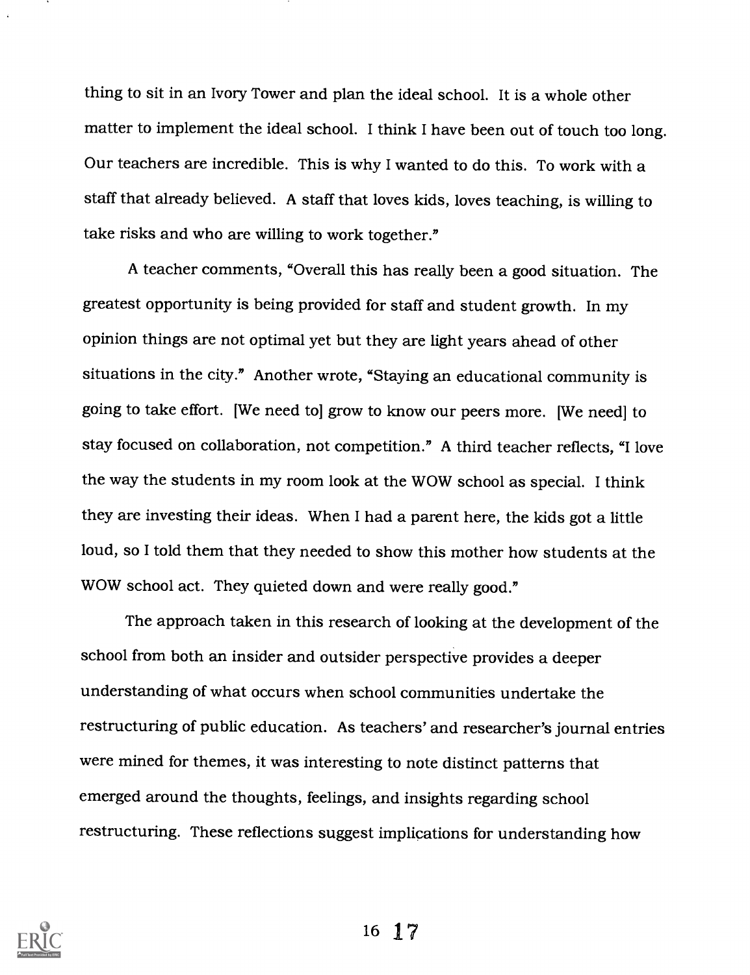thing to sit in an Ivory Tower and plan the ideal school. It is a whole other matter to implement the ideal school. I think I have been out of touch too long. Our teachers are incredible. This is why I wanted to do this. To work with a staff that already believed. A staff that loves kids, loves teaching, is willing to take risks and who are willing to work together."

A teacher comments, "Overall this has really been a good situation. The greatest opportunity is being provided for staff and student growth. In my opinion things are not optimal yet but they are light years ahead of other situations in the city." Another wrote, "Staying an educational community is going to take effort. [We need to] grow to know our peers more. [We need] to stay focused on collaboration, not competition." A third teacher reflects, "I love the way the students in my room look at the WOW school as special. I think they are investing their ideas. When I had a parent here, the kids got a little loud, so I told them that they needed to show this mother how students at the WOW school act. They quieted down and were really good."

The approach taken in this research of looking at the development of the school from both an insider and outsider perspective provides a deeper understanding of what occurs when school communities undertake the restructuring of public education. As teachers' and researcher's journal entries were mined for themes, it was interesting to note distinct patterns that emerged around the thoughts, feelings, and insights regarding school restructuring. These reflections suggest implications for understanding how

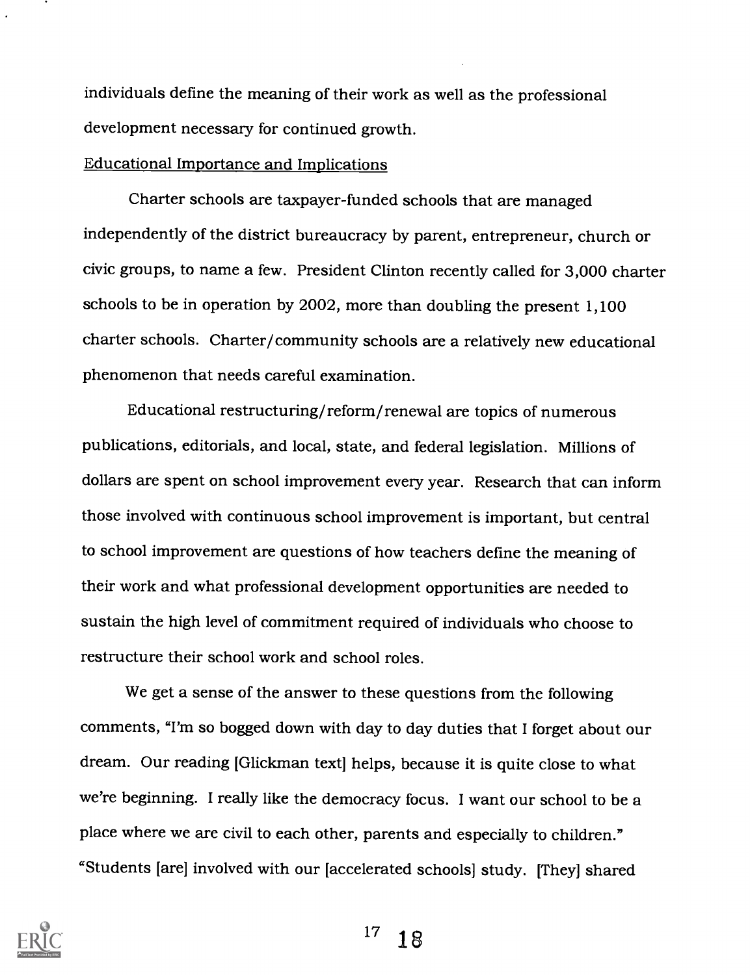individuals define the meaning of their work as well as the professional development necessary for continued growth.

#### Educational Importance and Implications

Charter schools are taxpayer-funded schools that are managed independently of the district bureaucracy by parent, entrepreneur, church or civic groups, to name a few. President Clinton recently called for 3,000 charter schools to be in operation by 2002, more than doubling the present 1,100 charter schools. Charter/community schools are a relatively new educational phenomenon that needs careful examination.

Educational restructuring/reform/renewal are topics of numerous publications, editorials, and local, state, and federal legislation. Millions of dollars are spent on school improvement every year. Research that can inform those involved with continuous school improvement is important, but central to school improvement are questions of how teachers define the meaning of their work and what professional development opportunities are needed to sustain the high level of commitment required of individuals who choose to restructure their school work and school roles.

We get a sense of the answer to these questions from the following comments, "I'm so bogged down with day to day duties that I forget about our dream. Our reading [Glickman text] helps, because it is quite close to what we're beginning. I really like the democracy focus. I want our school to be a place where we are civil to each other, parents and especially to children." "Students [are] involved with our [accelerated schools] study. [They] shared



 $17 \t18$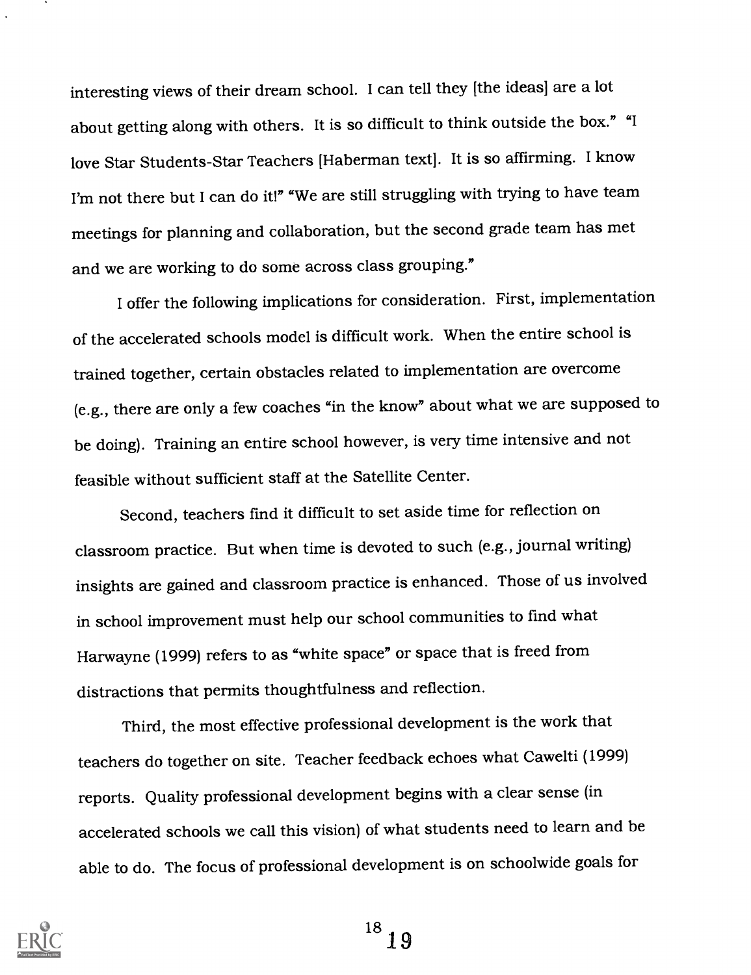interesting views of their dream school. I can tell they [the ideas] are a lot about getting along with others. It is so difficult to think outside the box." "I love Star Students-Star Teachers [Haberman text]. It is so affirming. I know I'm not there but I can do it!" "We are still struggling with trying to have team meetings for planning and collaboration, but the second grade team has met and we are working to do some across class grouping."

I offer the following implications for consideration. First, implementation of the accelerated schools model is difficult work. When the entire school is trained together, certain obstacles related to implementation are overcome (e.g., there are only a few coaches "in the know" about what we are supposed to be doing). Training an entire school however, is very time intensive and not feasible without sufficient staff at the Satellite Center.

Second, teachers find it difficult to set aside time for reflection on classroom practice. But when time is devoted to such (e.g., journal writing) insights are gained and classroom practice is enhanced. Those of us involved in school improvement must help our school communities to find what Harwayne (1999) refers to as "white space" or space that is freed from distractions that permits thoughtfulness and reflection.

Third, the most effective professional development is the work that teachers do together on site. Teacher feedback echoes what Cawelti (1999) reports. Quality professional development begins with a clear sense (in accelerated schools we call this vision) of what students need to learn and be able to do. The focus of professional development is on schoolwide goals for

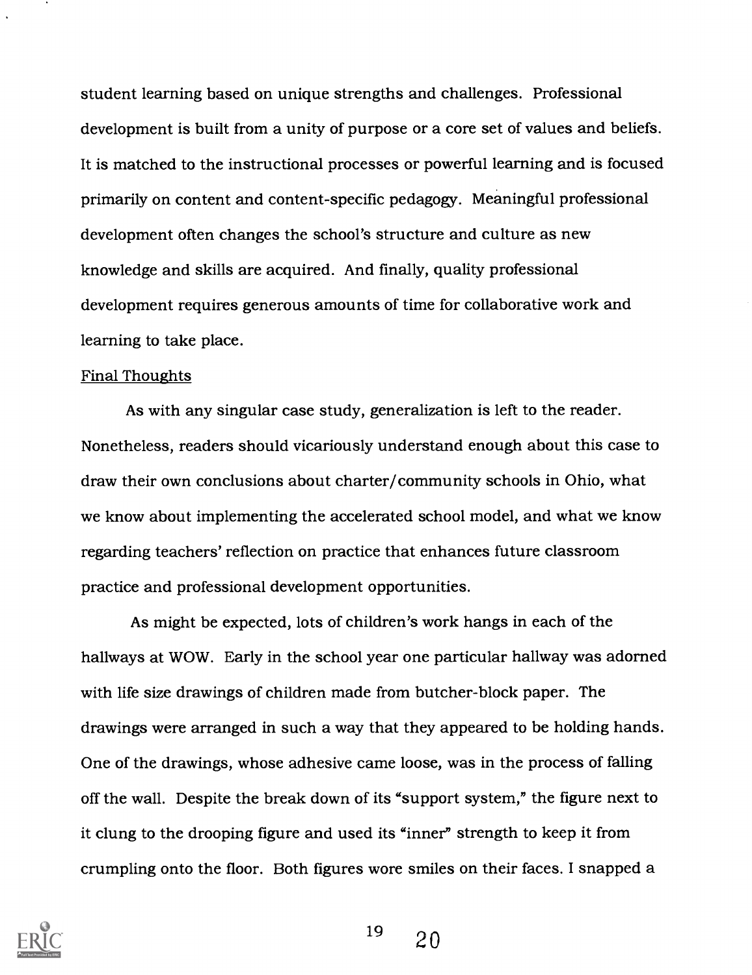student learning based on unique strengths and challenges. Professional development is built from a unity of purpose or a core set of values and beliefs. It is matched to the instructional processes or powerful learning and is focused primarily on content and content-specific pedagogy. Meaningful professional development often changes the school's structure and culture as new knowledge and skills are acquired. And finally, quality professional development requires generous amounts of time for collaborative work and learning to take place.

#### Final Thoughts

As with any singular case study, generalization is left to the reader. Nonetheless, readers should vicariously understand enough about this case to draw their own conclusions about charter/community schools in Ohio, what we know about implementing the accelerated school model, and what we know regarding teachers' reflection on practice that enhances future classroom practice and professional development opportunities.

As might be expected, lots of children's work hangs in each of the hallways at WOW. Early in the school year one particular hallway was adorned with life size drawings of children made from butcher-block paper. The drawings were arranged in such a way that they appeared to be holding hands. One of the drawings, whose adhesive came loose, was in the process of falling off the wall. Despite the break down of its "support system," the figure next to it clung to the drooping figure and used its "inner" strength to keep it from crumpling onto the floor. Both figures wore smiles on their faces. I snapped a

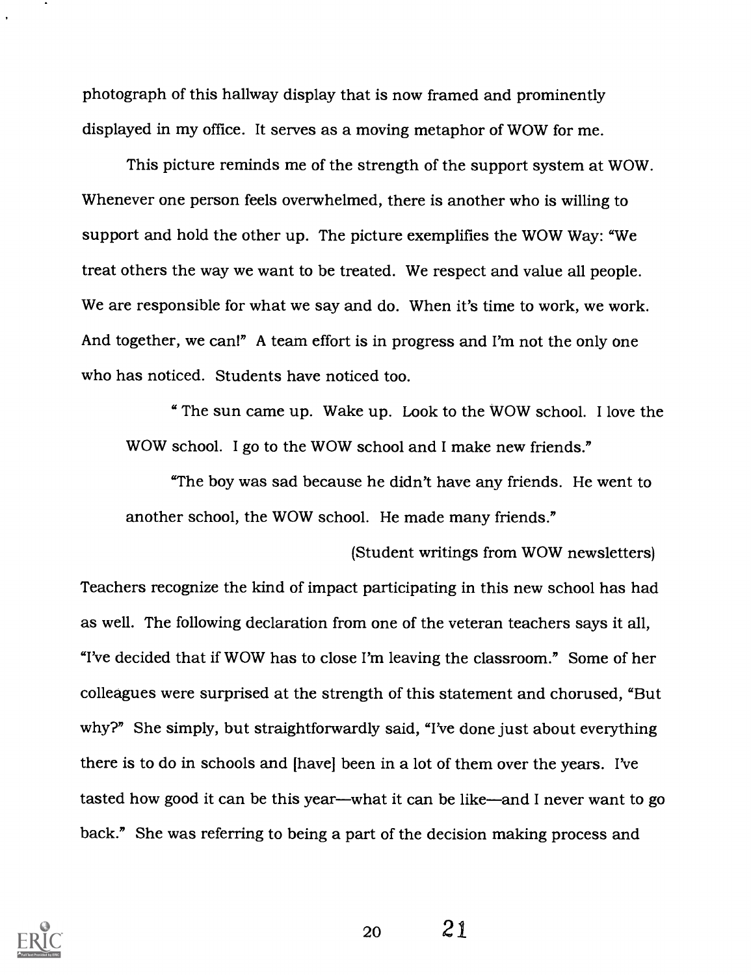photograph of this hallway display that is now framed and prominently displayed in my office. It serves as a moving metaphor of WOW for me.

This picture reminds me of the strength of the support system at WOW. Whenever one person feels overwhelmed, there is another who is willing to support and hold the other up. The picture exemplifies the WOW Way: "We treat others the way we want to be treated. We respect and value all people. We are responsible for what we say and do. When it's time to work, we work. And together, we can!" A team effort is in progress and I'm not the only one who has noticed. Students have noticed too.

" The sun came up. Wake up. Look to the WOW school. I love the WOW school. I go to the WOW school and I make new friends."

"The boy was sad because he didn't have any friends. He went to another school, the WOW school. He made many friends."

(Student writings from WOW newsletters) Teachers recognize the kind of impact participating in this new school has had as well. The following declaration from one of the veteran teachers says it all, "I've decided that if WOW has to close I'm leaving the classroom." Some of her colleagues were surprised at the strength of this statement and chorused, "But why?" She simply, but straightforwardly said, "I've done just about everything there is to do in schools and [have] been in a lot of them over the years. I've tasted how good it can be this year—what it can be like—and I never want to go back." She was referring to being a part of the decision making process and

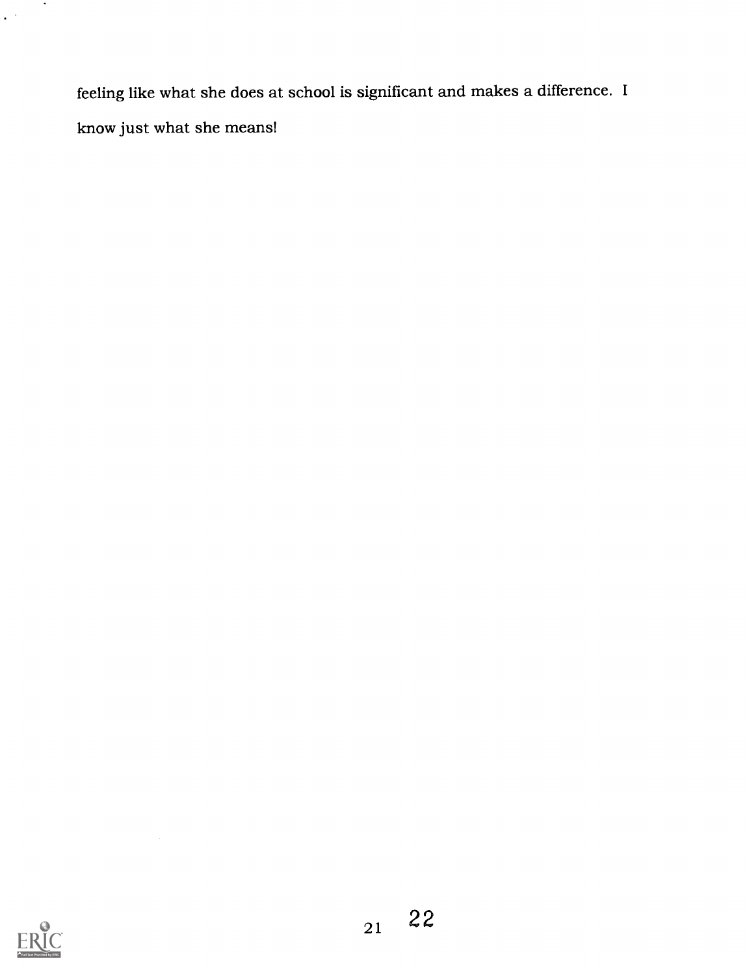feeling like what she does at school is significant and makes a difference. <sup>I</sup> know just what she means!



 $\bar{\beta}$ 

 $\sim$   $\sim$ 

 $\epsilon^{(k)}$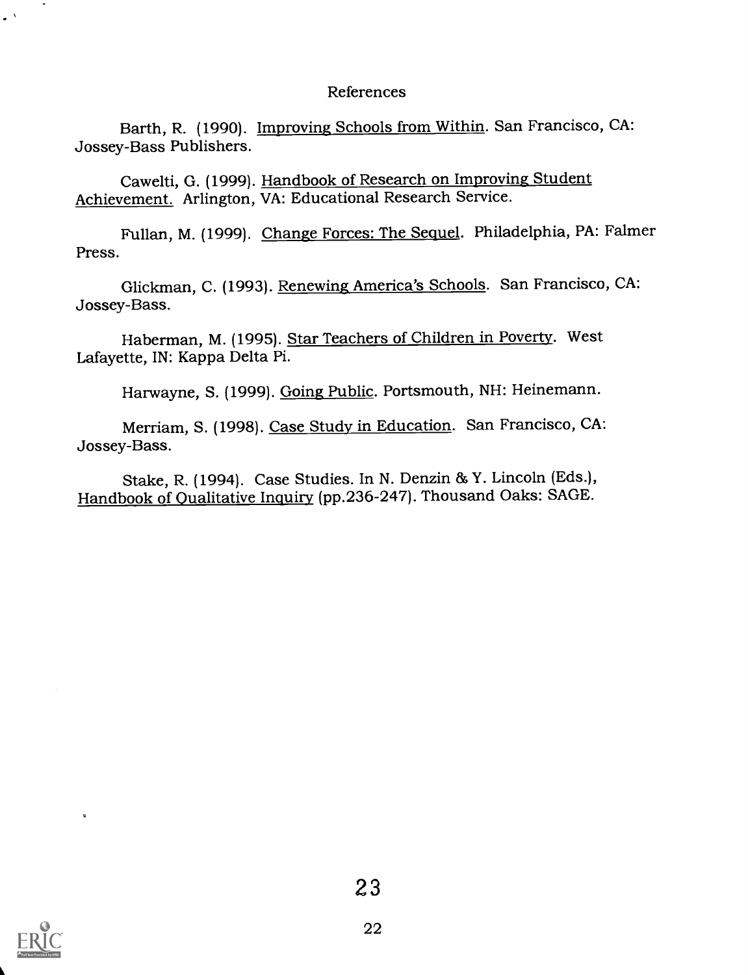### References

Barth, R. (1990). Improving Schools from Within. San Francisco, CA: Jossey-Bass Publishers.

Cawelti, G. (1999). Handbook of Research on Improving Student Achievement. Arlington, VA: Educational Research Service.

Fullan, M. (1999). Change Forces: The Sequel. Philadelphia, PA: Falmer Press.

Glickman, C. (1993). Renewing America's Schools. San Francisco, CA: Jossey-Bass.

Haberman, M. (1995). Star Teachers of Children in Poverty. West Lafayette, IN: Kappa Delta Pi.

Harwayne, S. (1999). Going Public. Portsmouth, NH: Heinemann.

Merriam, S. (1998). Case Study in Education. San Francisco, CA: Jossey-Bass.

Stake, R. (1994). Case Studies. In N. Denzin & Y. Lincoln (Eds.), Handbook of Qualitative Inquiry (pp.236-247). Thousand Oaks: SAGE.



 $\ddot{\phantom{a}}$ 

 $\sim$ 

 $\mathbf{v}^{(A)}$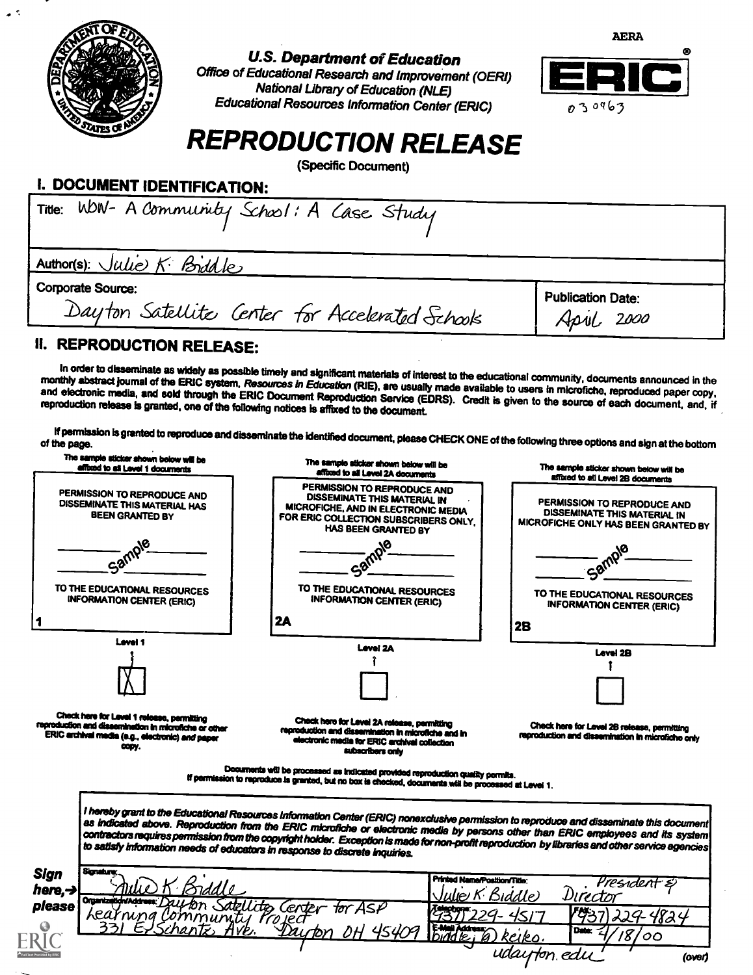

 $\bullet$  .

 $\mathcal{L}_2$ 

## U.S. Department of Education

Office of Educational Research and Improvement (OERI) National Library of Education (NLE) Educational Resources Information Center (ERIC)



# REPRODUCTION RELEASE

(Specific Document)

## I. DOCUMENT IDENTIFICATION:

| Title: WDN- A Community School: A Case Study                                |                                        |
|-----------------------------------------------------------------------------|----------------------------------------|
| Author(s): Julie K. Briddle                                                 |                                        |
| <b>Corporate Source:</b><br>Dayton Satellite Center for Accelerated Schools | <b>Publication Date:</b><br>April 2000 |
| u.<br><b>DEDDANIATIAN BELEJAH</b>                                           |                                        |

### II. REPRODUCTION RELEASE:

In order to disseminate as widely as possible timely and significant materials of interest to the educational community, documents announced in the<br>monthly abstract journal of the ERIC system, Resources in Education (RIE),

If permission is granted to reproduce and disseminate the identified document, please CHECK ONE of the following three options and sign at the bottom of the page.

| The sample sticker shown below will be<br>affixed to all Level 1 documents                                                                                       | The sample sticker shown below will be<br>affixed to all Level 2A documents                                                                                                                                                                                                                                                                                                                                                                                                                                       | The sample sticker shown below will be<br>affixed to all Level 2B documents                        |
|------------------------------------------------------------------------------------------------------------------------------------------------------------------|-------------------------------------------------------------------------------------------------------------------------------------------------------------------------------------------------------------------------------------------------------------------------------------------------------------------------------------------------------------------------------------------------------------------------------------------------------------------------------------------------------------------|----------------------------------------------------------------------------------------------------|
| PERMISSION TO REPRODUCE AND<br>DISSEMINATE THIS MATERIAL HAS<br><b>BEEN GRANTED BY</b>                                                                           | PERMISSION TO REPRODUCE AND<br>DISSEMINATE THIS MATERIAL IN<br>MICROFICHE, AND IN ELECTRONIC MEDIA<br>FOR ERIC COLLECTION SUBSCRIBERS ONLY.<br><b>HAS BEEN GRANTED BY</b>                                                                                                                                                                                                                                                                                                                                         | PERMISSION TO REPRODUCE AND<br>DISSEMINATE THIS MATERIAL IN<br>MICROFICHE ONLY HAS BEEN GRANTED BY |
| $c_{3q}$<br>TO THE EDUCATIONAL RESOURCES                                                                                                                         | 10<br>TO THE EDUCATIONAL RESOURCES                                                                                                                                                                                                                                                                                                                                                                                                                                                                                | <b>Sam</b>                                                                                         |
| <b>INFORMATION CENTER (ERIC)</b>                                                                                                                                 | <b>INFORMATION CENTER (ERIC)</b><br>2A                                                                                                                                                                                                                                                                                                                                                                                                                                                                            | TO THE EDUCATIONAL RESOURCES<br><b>INFORMATION CENTER (ERIC)</b><br>2B                             |
| <b>Level 1</b>                                                                                                                                                   | Level 2A                                                                                                                                                                                                                                                                                                                                                                                                                                                                                                          | Level 2B                                                                                           |
|                                                                                                                                                                  |                                                                                                                                                                                                                                                                                                                                                                                                                                                                                                                   |                                                                                                    |
| Check here for Level 1 release, permitting<br>reproduction and dissemination in microfiche or other<br>ERIC archival media (e.g., electronic) and paper<br>copy. | Check here for Level 2A release, permitting<br>reproduction and dissemination in microfiche and in<br>electronic media for ERIC archival collection<br>subscribers only                                                                                                                                                                                                                                                                                                                                           | Check here for Level 2B release, permitting<br>reproduction and dissemination in microfiche only   |
|                                                                                                                                                                  | Documents will be processed as indicated provided reproduction quality permits.<br>If permission to reproduce is granted, but no box is checked, documents will be processed at Level 1.                                                                                                                                                                                                                                                                                                                          |                                                                                                    |
|                                                                                                                                                                  |                                                                                                                                                                                                                                                                                                                                                                                                                                                                                                                   |                                                                                                    |
|                                                                                                                                                                  | I hereby grant to the Educational Resources Information Center (ERIC) nonexclusive permission to reproduce and disseminate this document<br>as indicated above. Reproduction from the ERIC microfiche or electronic media by persons other than ERIC employees and its system<br>contractors requires permission from the copyright holder. Exception is made for non-profit reproduction by libraries and other service agencies<br>to satisfy information needs of educators in response to discrete inquiries. |                                                                                                    |
| Sionature<br><b>Sign</b>                                                                                                                                         | <b>Printed Nama/Position/Title:</b>                                                                                                                                                                                                                                                                                                                                                                                                                                                                               | President                                                                                          |
| here, $\rightarrow$<br>Organization/Addr<br>please<br>Learning Community Project                                                                                 | Center<br>tor ASP                                                                                                                                                                                                                                                                                                                                                                                                                                                                                                 | Director<br>Biddle)<br>1937<br>224-4824                                                            |
| chantz,<br>HVP.                                                                                                                                                  | $E$ and $E$ is $E$                                                                                                                                                                                                                                                                                                                                                                                                                                                                                                | Date:<br>8<br>တ<br>Reiko<br>udayton edu<br>(over)                                                  |